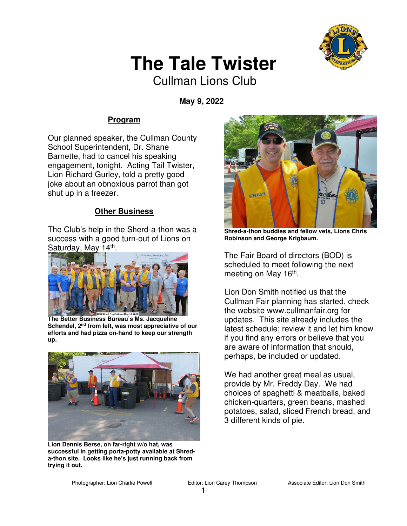

# **The Tale Twister**

Cullman Lions Club

 **May 9, 2022** 

## **Program**

Our planned speaker, the Cullman County School Superintendent, Dr. Shane Barnette, had to cancel his speaking engagement, tonight. Acting Tail Twister, Lion Richard Gurley, told a pretty good joke about an obnoxious parrot than got shut up in a freezer.

### **Other Business**

The Club's help in the Sherd-a-thon was a success with a good turn-out of Lions on Saturday, May 14<sup>th</sup>.



**The Better Business Bureau's Ms. Jacqueline Schendel, 2nd from left, was most appreciative of our efforts and had pizza on-hand to keep our strength up.** 



**Lion Dennis Berse, on far-right w/o hat, was successful in getting porta-potty available at Shreda-thon site. Looks like he's just running back from trying it out.** 



**Shred-a-thon buddies and fellow vets, Lions Chris Robinson and George Krigbaum.** 

The Fair Board of directors (BOD) is scheduled to meet following the next meeting on May 16<sup>th</sup>.

Lion Don Smith notified us that the Cullman Fair planning has started, check the website www.cullmanfair.org for updates. This site already includes the latest schedule; review it and let him know if you find any errors or believe that you are aware of information that should, perhaps, be included or updated.

We had another great meal as usual, provide by Mr. Freddy Day. We had choices of spaghetti & meatballs, baked chicken-quarters, green beans, mashed potatoes, salad, sliced French bread, and 3 different kinds of pie.